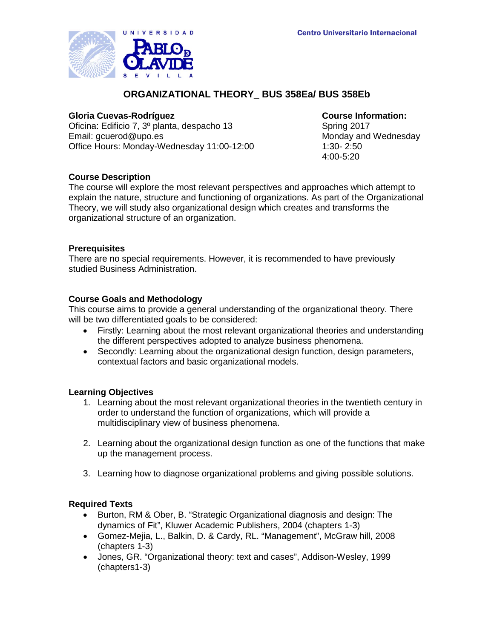

# **ORGANIZATIONAL THEORY\_ BUS 358Ea/ BUS 358Eb**

## **Gloria Cuevas-Rodríguez Course Information:**

Oficina: Edificio 7, 3º planta, despacho 13 Spring 2017 Email: gcuerod@upo.es Monday and Wednesday Office Hours: Monday-Wednesday 11:00-12:00 1:30- 2:50

4:00-5:20

# **Course Description**

The course will explore the most relevant perspectives and approaches which attempt to explain the nature, structure and functioning of organizations. As part of the Organizational Theory, we will study also organizational design which creates and transforms the organizational structure of an organization.

## **Prerequisites**

There are no special requirements. However, it is recommended to have previously studied Business Administration.

# **Course Goals and Methodology**

This course aims to provide a general understanding of the organizational theory. There will be two differentiated goals to be considered:

- Firstly: Learning about the most relevant organizational theories and understanding the different perspectives adopted to analyze business phenomena.
- Secondly: Learning about the organizational design function, design parameters, contextual factors and basic organizational models.

## **Learning Objectives**

- 1. Learning about the most relevant organizational theories in the twentieth century in order to understand the function of organizations, which will provide a multidisciplinary view of business phenomena.
- 2. Learning about the organizational design function as one of the functions that make up the management process.
- 3. Learning how to diagnose organizational problems and giving possible solutions.

# **Required Texts**

- Burton, RM & Ober, B. "Strategic Organizational diagnosis and design: The dynamics of Fit", Kluwer Academic Publishers, 2004 (chapters 1-3)
- Gomez-Mejia, L., Balkin, D. & Cardy, RL. "Management", McGraw hill, 2008 (chapters 1-3)
- Jones, GR. "Organizational theory: text and cases", Addison-Wesley, 1999 (chapters1-3)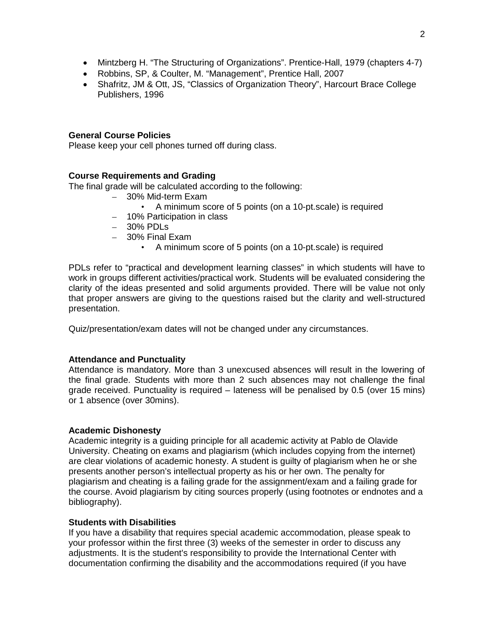- Mintzberg H. "The Structuring of Organizations". Prentice-Hall, 1979 (chapters 4-7)
- Robbins, SP, & Coulter, M. "Management", Prentice Hall, 2007
- Shafritz, JM & Ott, JS, "Classics of Organization Theory", Harcourt Brace College Publishers, 1996

### **General Course Policies**

Please keep your cell phones turned off during class.

## **Course Requirements and Grading**

The final grade will be calculated according to the following:

- 30% Mid-term Exam
	- A minimum score of 5 points (on a 10-pt.scale) is required
- 10% Participation in class
- 30% PDLs
- 30% Final Exam
	- A minimum score of 5 points (on a 10-pt.scale) is required

PDLs refer to "practical and development learning classes" in which students will have to work in groups different activities/practical work. Students will be evaluated considering the clarity of the ideas presented and solid arguments provided. There will be value not only that proper answers are giving to the questions raised but the clarity and well-structured presentation.

Quiz/presentation/exam dates will not be changed under any circumstances.

#### **Attendance and Punctuality**

Attendance is mandatory. More than 3 unexcused absences will result in the lowering of the final grade. Students with more than 2 such absences may not challenge the final grade received. Punctuality is required – lateness will be penalised by 0.5 (over 15 mins) or 1 absence (over 30mins).

#### **Academic Dishonesty**

Academic integrity is a guiding principle for all academic activity at Pablo de Olavide University. Cheating on exams and plagiarism (which includes copying from the internet) are clear violations of academic honesty. A student is guilty of plagiarism when he or she presents another person's intellectual property as his or her own. The penalty for plagiarism and cheating is a failing grade for the assignment/exam and a failing grade for the course. Avoid plagiarism by citing sources properly (using footnotes or endnotes and a bibliography).

## **Students with Disabilities**

If you have a disability that requires special academic accommodation, please speak to your professor within the first three (3) weeks of the semester in order to discuss any adjustments. It is the student's responsibility to provide the International Center with documentation confirming the disability and the accommodations required (if you have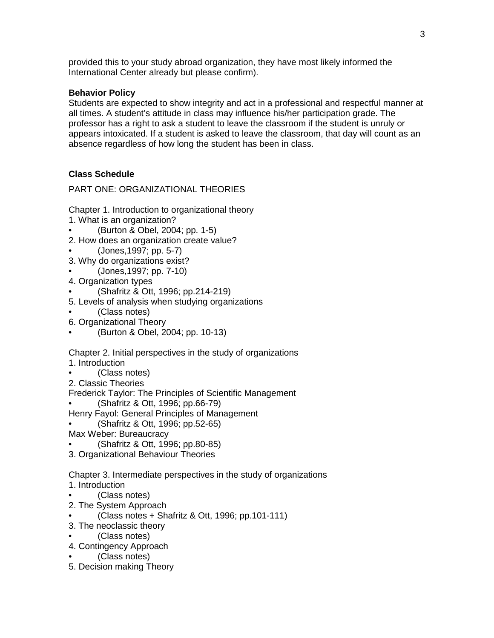provided this to your study abroad organization, they have most likely informed the International Center already but please confirm).

## **Behavior Policy**

Students are expected to show integrity and act in a professional and respectful manner at all times. A student's attitude in class may influence his/her participation grade. The professor has a right to ask a student to leave the classroom if the student is unruly or appears intoxicated. If a student is asked to leave the classroom, that day will count as an absence regardless of how long the student has been in class.

# **Class Schedule**

PART ONE: ORGANIZATIONAL THEORIES

- Chapter 1. Introduction to organizational theory
- 1. What is an organization?
- (Burton & Obel, 2004; pp. 1-5)
- 2. How does an organization create value?
	- (Jones,1997; pp. 5-7)
- 3. Why do organizations exist?
- (Jones,1997; pp. 7-10)
- 4. Organization types
- (Shafritz & Ott, 1996; pp.214-219)
- 5. Levels of analysis when studying organizations
- (Class notes)
- 6. Organizational Theory
- (Burton & Obel, 2004; pp. 10-13)

Chapter 2. Initial perspectives in the study of organizations

- 1. Introduction
- (Class notes)

2. Classic Theories

Frederick Taylor: The Principles of Scientific Management

- (Shafritz & Ott, 1996; pp.66-79)
- Henry Fayol: General Principles of Management
- (Shafritz & Ott, 1996; pp.52-65)
- Max Weber: Bureaucracy
- (Shafritz & Ott, 1996; pp.80-85)
- 3. Organizational Behaviour Theories

Chapter 3. Intermediate perspectives in the study of organizations

- 1. Introduction
- (Class notes)
- 2. The System Approach
- (Class notes + Shafritz & Ott, 1996; pp.101-111)
- 3. The neoclassic theory
- (Class notes)
- 4. Contingency Approach
	- (Class notes)
- 5. Decision making Theory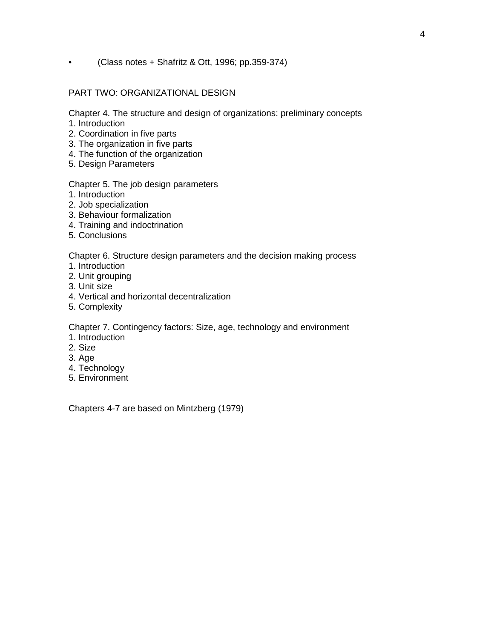• (Class notes + Shafritz & Ott, 1996; pp.359-374)

## PART TWO: ORGANIZATIONAL DESIGN

Chapter 4. The structure and design of organizations: preliminary concepts

- 1. Introduction
- 2. Coordination in five parts
- 3. The organization in five parts
- 4. The function of the organization
- 5. Design Parameters

## Chapter 5. The job design parameters

- 1. Introduction
- 2. Job specialization
- 3. Behaviour formalization
- 4. Training and indoctrination
- 5. Conclusions

Chapter 6. Structure design parameters and the decision making process

- 1. Introduction
- 2. Unit grouping
- 3. Unit size
- 4. Vertical and horizontal decentralization
- 5. Complexity

Chapter 7. Contingency factors: Size, age, technology and environment

- 1. Introduction
- 2. Size
- 3. Age
- 4. Technology
- 5. Environment

Chapters 4-7 are based on Mintzberg (1979)